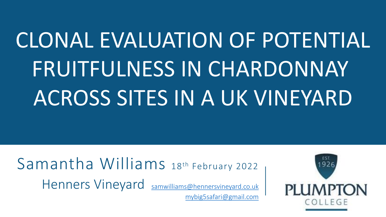## CLONAL EVALUATION OF POTENTIAL FRUITFULNESS IN CHARDONNAY ACROSS SITES IN A UK VINEYARD

Samantha Williams 18th February 2022 Henners Vineyard [samwilliams@hennersvineyard.co.uk](mailto:samwilliams@hennersvineyard.co.uk) [mybig5safari@gmail.com](mailto:mybig5safari@gmail.com)

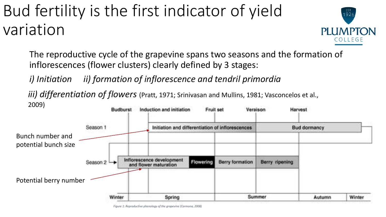### Bud fertility is the first indicator of yield variation



The reproductive cycle of the grapevine spans two seasons and the formation of inflorescences (flower clusters) clearly defined by 3 stages:

*i) Initiation ii) formation of inflorescence and tendril primordia*

*iii) differentiation of flowers* (Pratt, 1971; Srinivasan and Mullins, 1981; Vasconcelos et al., 2009)



*Figure 1: Reproductive phenology of the grapevine (Carmona, 2008)*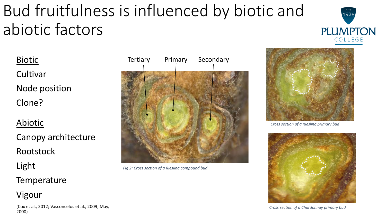## Bud fruitfulness is influenced by biotic and abiotic factors



**Biotic** 

**Cultivar** Node position

Clone?

Abiotic

Canopy architecture Rootstock

Light

**Temperature** 

Vigour

(Cox et al., 2012; Vasconcelos et al., 2009; May, 2000)



*Fig 2: Cross section of a Riesling compound bud*



*Cross section of a Riesling primary bud*



*Cross section of a Chardonnay primary bud*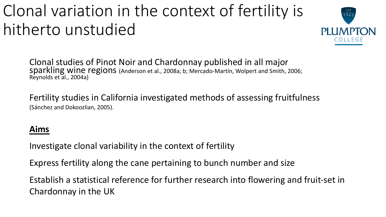## Clonal variation in the context of fertility is hitherto unstudied



Clonal studies of Pinot Noir and Chardonnay published in all major sparkling wine regions (Anderson et al., 2008a; b; Mercado-Martín, Wolpert and Smith, 2006; Reynolds et al., 2004a)

Fertility studies in California investigated methods of assessing fruitfulness (Sánchez and Dokoozlian, 2005).

### **Aims**

Investigate clonal variability in the context of fertility

Express fertility along the cane pertaining to bunch number and size

Establish a statistical reference for further research into flowering and fruit-set in Chardonnay in the UK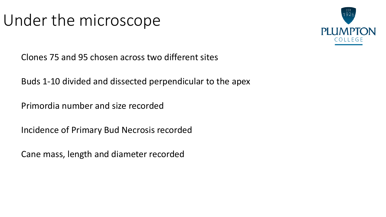### Under the microscope



Clones 75 and 95 chosen across two different sites

Buds 1-10 divided and dissected perpendicular to the apex

Primordia number and size recorded

Incidence of Primary Bud Necrosis recorded

Cane mass, length and diameter recorded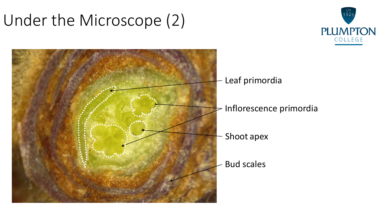### Under the Microscope (2)





- Leaf primordia
- Inflorescence primordia
- Shoot apex
- Bud scales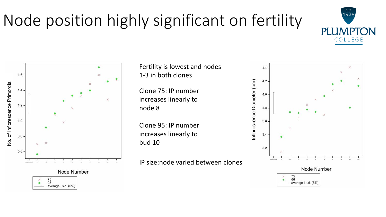# Node position highly significant on fertility

1.6 No. of Inflorescence Primordia No. of Inflorescence Primordia $1.4$  $\times$  $1.2$  $1.0 0.8$ 0.6 Node Number  $^{75}_{95}$ average I.s.d. (5%)

Fertility is lowest and nodes 1-3 in both clones

Clone 75: IP number increases linearly to node 8

Clone 95: IP number increases linearly to bud 10

IP size:node varied between clones



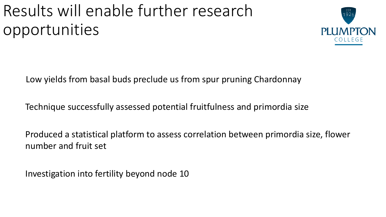### Results will enable further research opportunities



Low yields from basal buds preclude us from spur pruning Chardonnay

Technique successfully assessed potential fruitfulness and primordia size

Produced a statistical platform to assess correlation between primordia size, flower number and fruit set

Investigation into fertility beyond node 10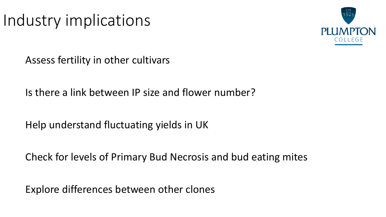### Industry implications



Assess fertility in other cultivars

Is there a link between IP size and flower number?

Help understand fluctuating yields in UK

Check for levels of Primary Bud Necrosis and bud eating mites

Explore differences between other clones